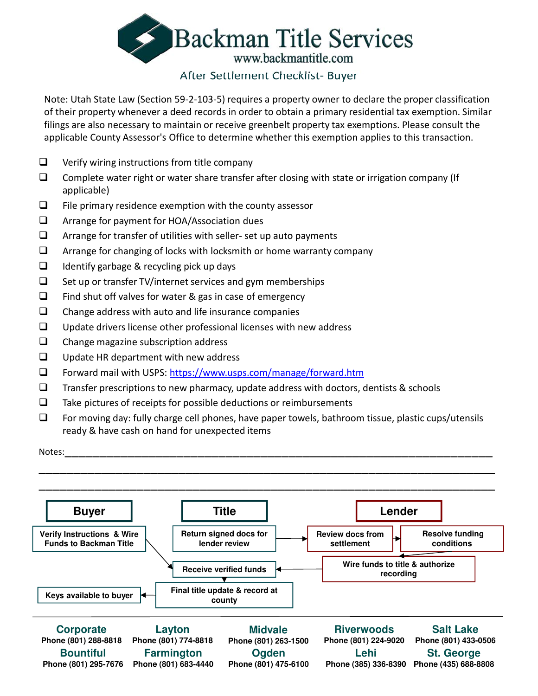

# After Settlement Checklist- Buyer

Note: Utah State Law (Section 59-2-103-5) requires a property owner to declare the proper classification of their property whenever a deed records in order to obtain a primary residential tax exemption. Similar filings are also necessary to maintain or receive greenbelt property tax exemptions. Please consult the applicable County Assessor's Office to determine whether this exemption applies to this transaction.

- $\Box$  Verify wiring instructions from title company
- $\square$  Complete water right or water share transfer after closing with state or irrigation company (If applicable)
- $\Box$  File primary residence exemption with the county assessor
- □ Arrange for payment for HOA/Association dues
- $\Box$  Arrange for transfer of utilities with seller- set up auto payments
- $\Box$  Arrange for changing of locks with locksmith or home warranty company
- $\Box$  Identify garbage & recycling pick up days
- $\Box$  Set up or transfer TV/internet services and gym memberships
- $\Box$  Find shut off valves for water & gas in case of emergency
- $\Box$  Change address with auto and life insurance companies
- $\Box$  Update drivers license other professional licenses with new address
- $\Box$  Change magazine subscription address
- $\Box$  Update HR department with new address
- Forward mail with USPS: https://www.usps.com/manage/forward.htm
- $\Box$  Transfer prescriptions to new pharmacy, update address with doctors, dentists & schools
- $\Box$  Take pictures of receipts for possible deductions or reimbursements
- $\Box$  For moving day: fully charge cell phones, have paper towels, bathroom tissue, plastic cups/utensils ready & have cash on hand for unexpected items

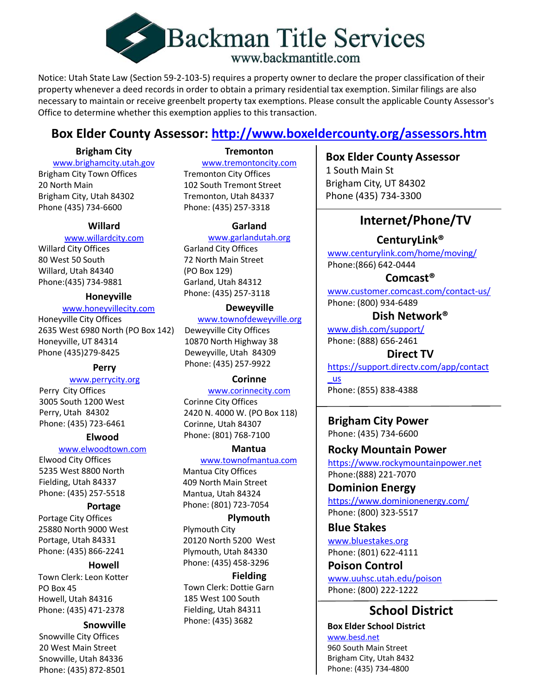

Notice: Utah State Law (Section 59-2-103-5) requires a property owner to declare the proper classification of their property whenever a deed records in order to obtain a primary residential tax exemption. Similar filings are also necessary to maintain or receive greenbelt property tax exemptions. Please consult the applicable County Assessor's Office to determine whether this exemption applies to this transaction.

# **Box Elder County Assessor: http://www.boxeldercounty.org/assessors.htm**

# **Brigham City**

www.brighamcity.utah.gov

Brigham City Town Offices 20 North Main Brigham City, Utah 84302 Phone (435) 734-6600

# **Willard**

### www.willardcity.com

Willard City Offices 80 West 50 South Willard, Utah 84340 Phone:(435) 734-9881

www.honeyvillecity.com

Honeyville City Offices 2635 West 6980 North (PO Box 142) Honeyville, UT 84314 Phone (435)279-8425

**Perry**

# www.perrycity.org

Perry City Offices 3005 South 1200 West Perry, Utah 84302 Phone: (435) 723-6461

# **Elwood**

### www.elwoodtown.com

Elwood City Offices 5235 West 8800 North Fielding, Utah 84337 Phone: (435) 257-5518

# **Portage**

Portage City Offices 25880 North 9000 West Portage, Utah 84331 Phone: (435) 866-2241

# **Howell**

Town Clerk: Leon Kotter PO Box 45 Howell, Utah 84316 Phone: (435) 471-2378

Snowville City Offices 20 West Main Street Snowville, Utah 84336 Phone: (435) 872-8501

# **Tremonton**

www.tremontoncity.com Tremonton City Offices 102 South Tremont Street Tremonton, Utah 84337 Phone: (435) 257-3318

# **Garland**

### www.garlandutah.org

Garland City Offices 72 North Main Street (PO Box 129) Garland, Utah 84312 Phone: (435) 257-3118 **Honeyville**

### **Deweyville**

www.townofdeweyville.org

Deweyville City Offices 10870 North Highway 38 Deweyville, Utah 84309 Phone: (435) 257-9922

### **Corinne**

www.corinnecity.com Corinne City Offices 2420 N. 4000 W. (PO Box 118) Corinne, Utah 84307 Phone: (801) 768-7100

# **Mantua**

www.townofmantua.com Mantua City Offices 409 North Main Street Mantua, Utah 84324 Phone: (801) 723-7054

# **Plymouth**

Plymouth City 20120 North 5200 West Plymouth, Utah 84330 Phone: (435) 458-3296

### **Fielding** Town Clerk: Dottie Garn

185 West 100 South Fielding, Utah 84311 Phone: (435) 3682 **Snowville**

# **Box Elder County Assessor** 1 South Main St Brigham City, UT 84302 Phone (435) 734-3300

# **Internet/Phone/TV**

**CenturyLink®**

www.centurylink.com/home/moving/ Phone:(866) 642-0444

**Comcast®**

www.customer.comcast.com/contact-us/ Phone: (800) 934-6489

# **Dish Network®**

www.dish.com/support/ Phone: (888) 656-2461

# **Direct TV**

https://support.directv.com/app/contact

\_us Phone: (855) 838-4388

**Brigham City Power** Phone: (435) 734-6600

**Rocky Mountain Power** https://www.rockymountainpower.net Phone:(888) 221-7070

**Dominion Energy**  https://www.dominionenergy.com/ Phone: (800) 323-5517

**Blue Stakes**

www.bluestakes.org Phone: (801) 622-4111

**Poison Control** www.uuhsc.utah.edu/poison Phone: (800) 222-1222

# **School District**

**Box Elder School District** www.besd.net 960 South Main Street Brigham City, Utah 8432 Phone: (435) 734-4800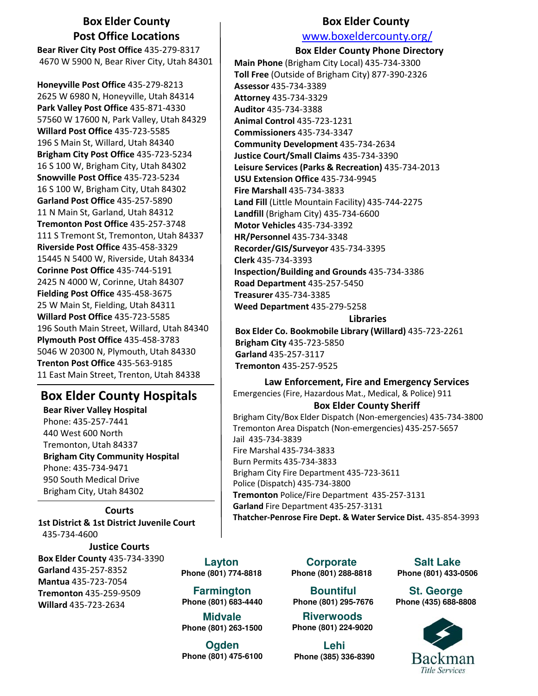# **Box Elder County Post Office Locations**

**Bear River City Post Office** 435-279-8317 4670 W 5900 N, Bear River City, Utah 84301

**Honeyville Post Office** 435-279-8213 2625 W 6980 N, Honeyville, Utah 84314 **Park Valley Post Office** 435-871-4330 57560 W 17600 N, Park Valley, Utah 84329 **Willard Post Office** 435-723-5585 196 S Main St, Willard, Utah 84340 **Brigham City Post Office** 435-723-5234 16 S 100 W, Brigham City, Utah 84302 **Snowville Post Office** 435-723-5234 16 S 100 W, Brigham City, Utah 84302 **Garland Post Office** 435-257-5890 11 N Main St, Garland, Utah 84312 **Tremonton Post Office** 435-257-3748 111 S Tremont St, Tremonton, Utah 84337 **Riverside Post Office** 435-458-3329 15445 N 5400 W, Riverside, Utah 84334 **Corinne Post Office** 435-744-5191 2425 N 4000 W, Corinne, Utah 84307 **Fielding Post Office** 435-458-3675 25 W Main St, Fielding, Utah 84311 **Willard Post Office** 435-723-5585 196 South Main Street, Willard, Utah 84340 **Plymouth Post Office** 435-458-3783 5046 W 20300 N, Plymouth, Utah 84330 **Trenton Post Office** 435-563-9185 11 East Main Street, Trenton, Utah 84338

# **Box Elder County Hospitals**

**Bear River Valley Hospital** Phone: 435-257-7441 440 West 600 North Tremonton, Utah 84337 **Brigham City Community Hospital** Phone: 435-734-9471 950 South Medical Drive Brigham City, Utah 84302

**Courts 1st District & 1st District Juvenile Court** 435-734-4600 **Justice Courts Box Elder County** 435-734-3390

**Garland** 435-257-8352 **Mantua** 435-723-7054 **Tremonton** 435-259-9509 **Willard** 435-723-2634

**Layton Phone (801) 774-8818**

**Farmington Phone (801) 683-4440**

**Midvale Phone (801) 263-1500**

**Ogden Phone (801) 475-6100** **Box Elder County**

# www.boxeldercounty.org/

**Box Elder County Phone Directory**

**Main Phone** (Brigham City Local) 435-734-3300 **Toll Free** (Outside of Brigham City) 877-390-2326 **Assessor** 435-734-3389 **Attorney** 435-734-3329 **Auditor** 435-734-3388 **Animal Control** 435-723-1231 **Commissioners** 435-734-3347 **Community Development** 435-734-2634 **Justice Court/Small Claims** 435-734-3390 **Leisure Services (Parks & Recreation)** 435-734-2013 **USU Extension Office** 435-734-9945 **Fire Marshall** 435-734-3833 **Land Fill** (Little Mountain Facility) 435-744-2275 **Landfill** (Brigham City) 435-734-6600 **Motor Vehicles** 435-734-3392 **HR/Personnel** 435-734-3348 **Recorder/GIS/Surveyor** 435-734-3395 **Clerk** 435-734-3393 **Inspection/Building and Grounds** 435-734-3386 **Road Department** 435-257-5450 **Treasurer** 435-734-3385 **Weed Department** 435-279-5258

### **Libraries**

**Box Elder Co. Bookmobile Library (Willard)** 435-723-2261 **Brigham City** 435-723-5850 **Garland** 435-257-3117 **Tremonton** 435-257-9525

### **Law Enforcement, Fire and Emergency Services**

Emergencies (Fire, Hazardous Mat., Medical, & Police) 911 **Box Elder County Sheriff**

Brigham City/Box Elder Dispatch (Non-emergencies) 435-734-3800 Tremonton Area Dispatch (Non-emergencies) 435-257-5657 Jail 435-734-3839 Fire Marshal 435-734-3833 Burn Permits 435-734-3833 Brigham City Fire Department 435-723-3611 Police (Dispatch) 435-734-3800 **Tremonton** Police/Fire Department 435-257-3131 **Garland** Fire Department 435-257-3131

**Thatcher-Penrose Fire Dept. & Water Service Dist.** 435-854-3993

**Corporate Phone (801) 288-8818**

**Bountiful Phone (801) 295-7676**

**Riverwoods Phone (801) 224-9020**

**Lehi Phone (385) 336-8390**

**Salt Lake Phone (801) 433-0506**

**St. George Phone (435) 688-8808**

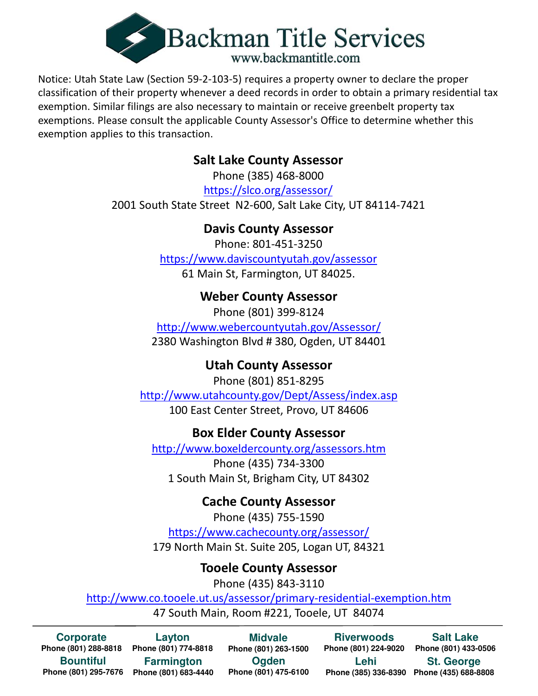

Notice: Utah State Law (Section 59-2-103-5) requires a property owner to declare the proper classification of their property whenever a deed records in order to obtain a primary residential tax exemption. Similar filings are also necessary to maintain or receive greenbelt property tax exemptions. Please consult the applicable County Assessor's Office to determine whether this exemption applies to this transaction.

# **Salt Lake County Assessor**

Phone (385) 468-8000 https://slco.org/assessor/ 2001 South State Street N2-600, Salt Lake City, UT 84114-7421

# **Davis County Assessor**

Phone: 801-451-3250 https://www.daviscountyutah.gov/assessor 61 Main St, Farmington, UT 84025.

# **Weber County Assessor**

Phone (801) 399-8124 http://www.webercountyutah.gov/Assessor/ 2380 Washington Blvd # 380, Ogden, UT 84401

# **Utah County Assessor**

Phone (801) 851-8295 http://www.utahcounty.gov/Dept/Assess/index.asp 100 East Center Street, Provo, UT 84606

# **Box Elder County Assessor**

http://www.boxeldercounty.org/assessors.htm Phone (435) 734-3300 1 South Main St, Brigham City, UT 84302

# **Cache County Assessor**

Phone (435) 755-1590 https://www.cachecounty.org/assessor/ 179 North Main St. Suite 205, Logan UT, 84321

# **Tooele County Assessor**

Phone (435) 843-3110

http://www.co.tooele.ut.us/assessor/primary-residential-exemption.htm 47 South Main, Room #221, Tooele, UT 84074

**Corporate Phone (801) 288-8818 Phone (801) 774-8818 Bountiful Phone (801) 295-7676 Phone (801) 683-4440**

**Layton Farmington**

**Ogden Phone (801) 475-6100 Midvale Phone (801) 263-1500**

**Riverwoods Lehi**

**Phone (801) 224-9020 Phone (801) 433-0506 Salt Lake St. George Phone (435) 688-8808 Phone (385) 336-8390**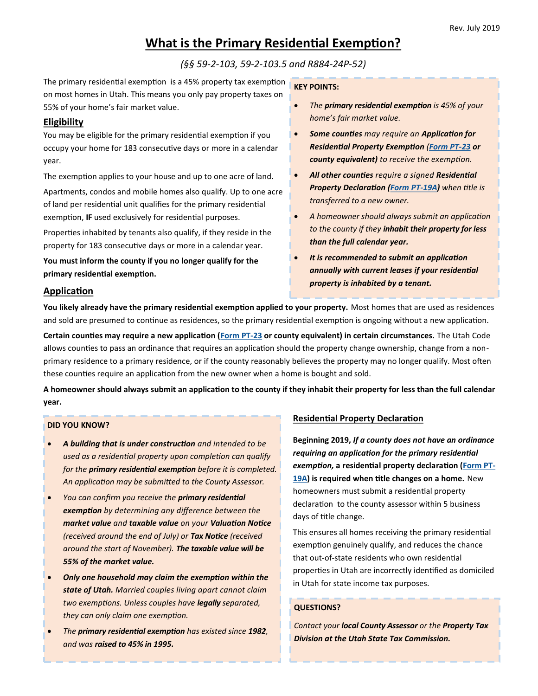# **What is the Primary Residential Exemption?**

*(§§ 59-2-103, 59-2-103.5 and R884-24P-52)*

The primary residential exemption is a 45% property tax exemption on most homes in Utah. This means you only pay property taxes on 55% of your home's fair market value.

### **Eligibility**

You may be eligible for the primary residential exemption if you occupy your home for 183 consecutive days or more in a calendar year.

The exemption applies to your house and up to one acre of land. Apartments, condos and mobile homes also qualify. Up to one acre of land per residential unit qualifies for the primary residential exemption, **IF** used exclusively for residential purposes.

Properties inhabited by tenants also qualify, if they reside in the property for 183 consecutive days or more in a calendar year.

**You must inform the county if you no longer qualify for the primary residential exemption.**

### **KEY POINTS:**

- *The primary residential exemption is 45% of your home's fair market value.*
- *Some counties may require an Application for Residential Property Exemption ([Form PT](https://propertytax.utah.gov/form/pt-023.pdf)-23 or county equivalent) to receive the exemption.*
- *All other counties require a signed Residential Property Declaration [\(Form PT](https://propertytax.utah.gov/form/pt-019a.pdf)-19A) when title is transferred to a new owner.*
- *A homeowner should always submit an application to the county if they inhabit their property for less than the full calendar year.*
- *It is recommended to submit an application annually with current leases if your residential property is inhabited by a tenant.*

### **Application**

**You likely already have the primary residential exemption applied to your property.** Most homes that are used as residences and sold are presumed to continue as residences, so the primary residential exemption is ongoing without a new application.

**Certain counties may require a new application ([Form PT](https://propertytax.utah.gov/form/pt-023.pdf)-23 or county equivalent) in certain circumstances.** The Utah Code allows counties to pass an ordinance that requires an application should the property change ownership, change from a nonprimary residence to a primary residence, or if the county reasonably believes the property may no longer qualify. Most often these counties require an application from the new owner when a home is bought and sold.

**A homeowner should always submit an application to the county if they inhabit their property for less than the full calendar year.**

#### **DID YOU KNOW?**

- *A building that is under construction and intended to be used as a residential property upon completion can qualify for the primary residential exemption before it is completed. An application may be submitted to the County Assessor.*
- *You can confirm you receive the primary residential exemption by determining any difference between the market value and taxable value on your Valuation Notice (received around the end of July) or Tax Notice (received around the start of November). The taxable value will be 55% of the market value.*
- *Only one household may claim the exemption within the state of Utah. Married couples living apart cannot claim two exemptions. Unless couples have legally separated, they can only claim one exemption.*
- *The primary residential exemption has existed since 1982, and was raised to 45% in 1995.*

# **Residential Property Declaration**

**Beginning 2019,** *If a county does not have an ordinance requiring an application for the primary residential exemption,* **a residential property declaration ([Form PT](https://propertytax.utah.gov/form/pt-019a.pdf)-[19A\)](https://propertytax.utah.gov/form/pt-019a.pdf) is required when title changes on a home.** New homeowners must submit a residential property declaration to the county assessor within 5 business days of title change.

This ensures all homes receiving the primary residential exemption genuinely qualify, and reduces the chance that out-of-state residents who own residential properties in Utah are incorrectly identified as domiciled in Utah for state income tax purposes.

### **QUESTIONS?**

*Contact your local County Assessor or the Property Tax Division at the Utah State Tax Commission.*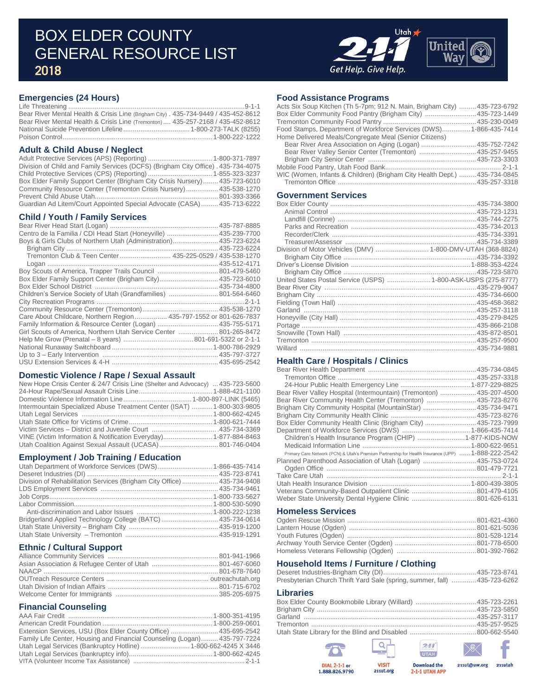# BOX ELDER COUNTY GENERAL RESOURCE LIST 2018



### **Emergencies (24 Hours)**

Life Threatening .............................................................................................9-1-1 Bear River Mental Health & Crisis Line (Brigham City) . 435-734-9449 / 435-452-8612 Bear River Mental Health & Crisis Line (Tremonton) .... 435-257-2168 / 435-452-8612 National Suicide Prevention Lifeline ................................... 1-800-273-TALK (8255) Poison Control ............................................................................... 1-800-222-1222

### **Adult & Child Abuse / Neglect**

| Division of Child and Family Services (DCFS) (Brigham City Office) . 435-734-4075 |  |
|-----------------------------------------------------------------------------------|--|
|                                                                                   |  |
| Box Elder Family Support Center (Brigham City Crisis Nursery)435-723-6010         |  |
| Community Resource Center (Tremonton Crisis Nursery) 435-538-1270                 |  |
|                                                                                   |  |
| Guardian Ad Litem/Court Appointed Special Advocate (CASA)435-713-6222             |  |

#### **Child / Youth / Family Services**

| Centro de la Familia / CDI Head Start (Honeyville)  435-239-7700   |  |
|--------------------------------------------------------------------|--|
| Boys & Girls Clubs of Northern Utah (Administration) 435-723-6224  |  |
|                                                                    |  |
| Tremonton Club & Teen Center 435-225-0529 / 435-538-1270           |  |
|                                                                    |  |
| Boy Scouts of America, Trapper Trails Council  801-479-5460        |  |
| Box Elder Family Support Center (Brigham City) 435-723-6010        |  |
|                                                                    |  |
| Children's Service Society of Utah (Grandfamilies)  801-564-6460   |  |
|                                                                    |  |
|                                                                    |  |
| Care About Childcare, Northern Region 435-797-1552 or 801-626-7837 |  |
| Family Information & Resource Center (Logan)  435-755-5171         |  |
| Girl Scouts of America, Northern Utah Service Center  801-265-8472 |  |
|                                                                    |  |
|                                                                    |  |
|                                                                    |  |
|                                                                    |  |

#### **Domestic Violence / Rape / Sexual Assault**

| New Hope Crisis Center & 24/7 Crisis Line (Shelter and Advocacy)  435-723-5600 |  |
|--------------------------------------------------------------------------------|--|
|                                                                                |  |
|                                                                                |  |
| Intermountain Specialized Abuse Treatment Center (ISAT)  1-800-303-9805        |  |
|                                                                                |  |
|                                                                                |  |
|                                                                                |  |
| VINE (Victim Information & Notification Everyday) 1-877-884-8463               |  |
|                                                                                |  |

#### **Employment / Job Training / Education**

| Utah Department of Workforce Services (DWS) 1-866-435-7414              |  |
|-------------------------------------------------------------------------|--|
|                                                                         |  |
| Division of Rehabilitation Services (Brigham City Office)  435-734-9408 |  |
|                                                                         |  |
|                                                                         |  |
|                                                                         |  |
|                                                                         |  |
| Bridgerland Applied Technology College (BATC)  435-734-0614             |  |
|                                                                         |  |
|                                                                         |  |

#### **Ethnic / Cultural Support**

#### **Financial Counseling**

| Extension Services, USU (Box Elder County Office)  435-695-2542           |  |
|---------------------------------------------------------------------------|--|
| Family Life Center, Housing and Financial Counseling (Logan) 435-797-7224 |  |
| Utah Legal Services (Bankruptcy Hotline)  1-800-662-4245 X 3446           |  |
|                                                                           |  |
|                                                                           |  |

#### **Food Assistance Programs**

| Acts Six Soup Kitchen (Th 5-7pm; 912 N. Main, Brigham City) 435-723-6792 |  |
|--------------------------------------------------------------------------|--|
| Box Elder Community Food Pantry (Brigham City) 435-723-1449              |  |
|                                                                          |  |
| Food Stamps, Department of Workforce Services (DWS) 1-866-435-7414       |  |
| Home Delivered Meals/Congregate Meal (Senior Citizens)                   |  |
| Bear River Area Association on Aging (Logan) 435-752-7242                |  |
| Bear River Valley Senior Center (Tremonton) 435-257-9455                 |  |
|                                                                          |  |
|                                                                          |  |
| WIC (Women, Infants & Children) (Brigham City Health Dept.) 435-734-0845 |  |
|                                                                          |  |
|                                                                          |  |

### **Government Services**

| Division of Motor Vehicles (DMV)  1-800-DMV-UTAH (368-8824)   |  |
|---------------------------------------------------------------|--|
|                                                               |  |
|                                                               |  |
|                                                               |  |
| United States Postal Service (USPS) 1-800-ASK-USPS (275-8777) |  |
|                                                               |  |
|                                                               |  |
|                                                               |  |
|                                                               |  |
|                                                               |  |
|                                                               |  |
|                                                               |  |
|                                                               |  |
|                                                               |  |

#### **Health Care / Hospitals / Clinics**

| Bear River Valley Hospital (Intermountain) (Tremonton) 435-207-4500                                |  |
|----------------------------------------------------------------------------------------------------|--|
| Bear River Community Health Center (Tremonton) 435-723-8276                                        |  |
| Brigham City Community Hospital (MountainStar) 435-734-9471                                        |  |
|                                                                                                    |  |
| Box Elder Community Health Clinic (Brigham City) 435-723-7999                                      |  |
|                                                                                                    |  |
|                                                                                                    |  |
|                                                                                                    |  |
| Primary Care Network (PCN) & Utah's Premium Partnership for Health Insurance (UPP)  1-888-222-2542 |  |
| Planned Parenthood Association of Utah (Logan) 435-753-0724                                        |  |
|                                                                                                    |  |
|                                                                                                    |  |
|                                                                                                    |  |
|                                                                                                    |  |
|                                                                                                    |  |
|                                                                                                    |  |

### **Homeless Services**

#### **Household Items / Furniture / Clothing**

| Presbyterian Church Thrift Yard Sale (spring, summer, fall) 435-723-6262 |  |
|--------------------------------------------------------------------------|--|

#### **Libraries**

|         | <b>DIAL 2-1-1 or</b><br>1.888.826.9790                     | <b>VISIT</b><br>211ut.org | <b>Download the</b><br>2-1-1 UTAH APP | 211ut@uw.org | 211utah |
|---------|------------------------------------------------------------|---------------------------|---------------------------------------|--------------|---------|
|         | 757                                                        |                           | 241<br>UTAH                           | $\searrow$   |         |
|         |                                                            |                           |                                       |              |         |
|         |                                                            |                           |                                       |              |         |
|         | Garland ……………………………………………………………………………435-257-3117          |                           |                                       |              |         |
|         |                                                            |                           |                                       |              |         |
|         | Box Elder County Bookmobile Library (Willard) 435-723-2261 |                           |                                       |              |         |
| ------- |                                                            |                           |                                       |              |         |